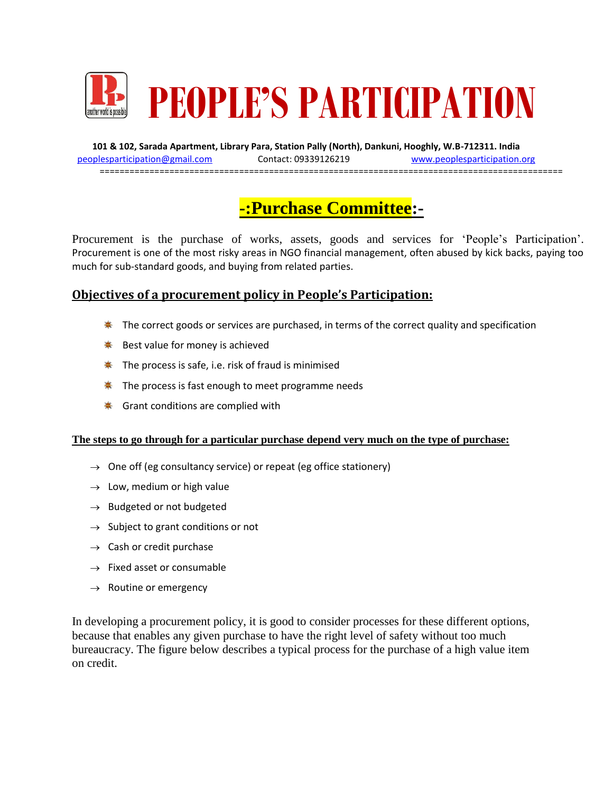

**101 & 102, Sarada Apartment, Library Para, Station Pally (North), Dankuni, Hooghly, W.B-712311. India** [peoplesparticipation@gmail.com](mailto:peoplesparticipation@gmail.com) Contact: 09339126219 [www.peoplesparticipation.org](http://www.peoplesparticipation.org/) =============================================================================================

# **-:Purchase Committee:-**

Procurement is the purchase of works, assets, goods and services for 'People's Participation'. Procurement is one of the most risky areas in NGO financial management, often abused by kick backs, paying too much for sub-standard goods, and buying from related parties.

# **Objectives of a procurement policy in People's Participation:**

- $*$  The correct goods or services are purchased, in terms of the correct quality and specification
- $★$  Best value for money is achieved
- $*$  The process is safe, i.e. risk of fraud is minimised
- $*$  The process is fast enough to meet programme needs
- $★$  Grant conditions are complied with

#### **The steps to go through for a particular purchase depend very much on the type of purchase:**

- $\rightarrow$  One off (eg consultancy service) or repeat (eg office stationery)
- $\rightarrow$  Low, medium or high value
- $\rightarrow$  Budgeted or not budgeted
- $\rightarrow$  Subject to grant conditions or not
- $\rightarrow$  Cash or credit purchase
- $\rightarrow$  Fixed asset or consumable
- $\rightarrow$  Routine or emergency

In developing a procurement policy, it is good to consider processes for these different options, because that enables any given purchase to have the right level of safety without too much bureaucracy. The figure below describes a typical process for the purchase of a high value item on credit.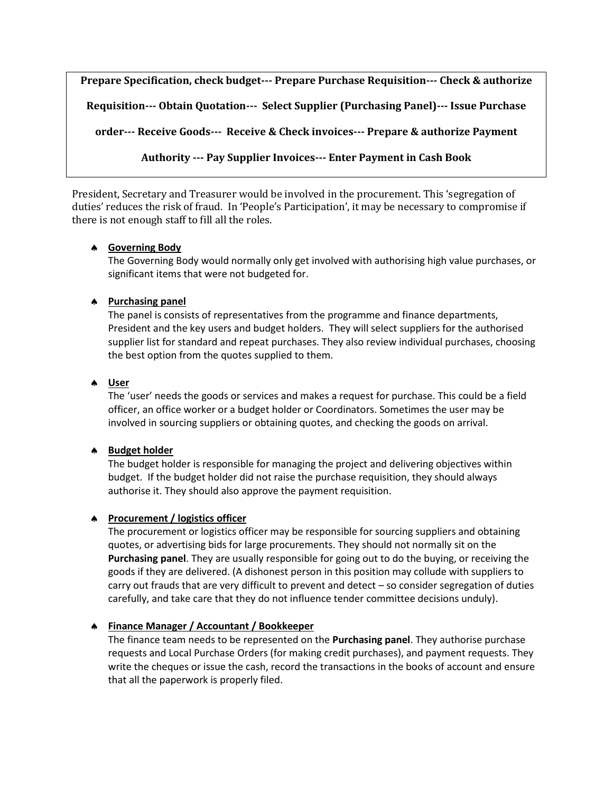**Prepare Specification, check budget--- Prepare Purchase Requisition--- Check & authorize Requisition--- Obtain Quotation--- Select Supplier (Purchasing Panel)--- Issue Purchase order--- Receive Goods--- Receive & Check invoices--- Prepare & authorize Payment Authority --- Pay Supplier Invoices--- Enter Payment in Cash Book**

President, Secretary and Treasurer would be involved in the procurement. This 'segregation of duties' reduces the risk of fraud. In 'People's Participation', it may be necessary to compromise if there is not enough staff to fill all the roles.

### **Governing Body**

The Governing Body would normally only get involved with authorising high value purchases, or significant items that were not budgeted for.

## **Purchasing panel**

The panel is consists of representatives from the programme and finance departments, President and the key users and budget holders. They will select suppliers for the authorised supplier list for standard and repeat purchases. They also review individual purchases, choosing the best option from the quotes supplied to them.

## **User**

The 'user' needs the goods or services and makes a request for purchase. This could be a field officer, an office worker or a budget holder or Coordinators. Sometimes the user may be involved in sourcing suppliers or obtaining quotes, and checking the goods on arrival.

### **Budget holder**

The budget holder is responsible for managing the project and delivering objectives within budget. If the budget holder did not raise the purchase requisition, they should always authorise it. They should also approve the payment requisition.

### **Procurement / logistics officer**

The procurement or logistics officer may be responsible for sourcing suppliers and obtaining quotes, or advertising bids for large procurements. They should not normally sit on the **Purchasing panel**. They are usually responsible for going out to do the buying, or receiving the goods if they are delivered. (A dishonest person in this position may collude with suppliers to carry out frauds that are very difficult to prevent and detect – so consider segregation of duties carefully, and take care that they do not influence tender committee decisions unduly).

## **Finance Manager / Accountant / Bookkeeper**

The finance team needs to be represented on the **Purchasing panel**. They authorise purchase requests and Local Purchase Orders (for making credit purchases), and payment requests. They write the cheques or issue the cash, record the transactions in the books of account and ensure that all the paperwork is properly filed.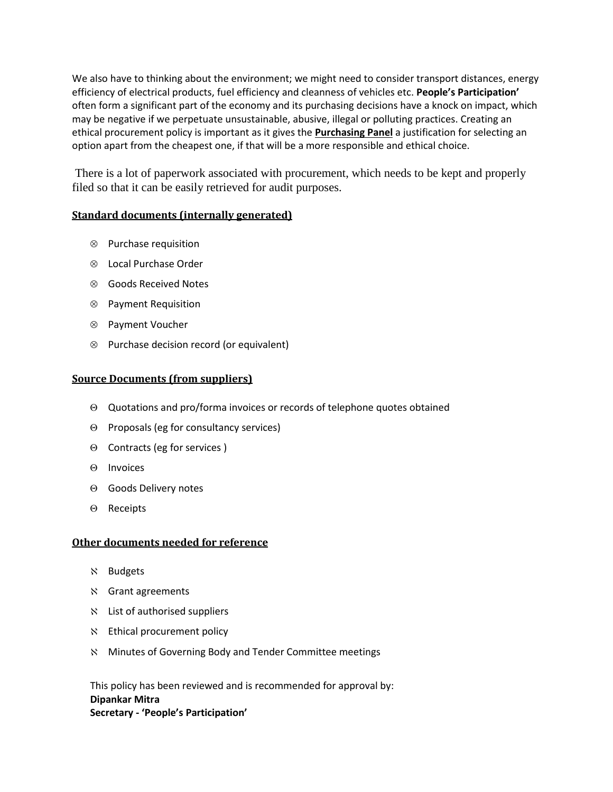We also have to thinking about the environment; we might need to consider transport distances, energy efficiency of electrical products, fuel efficiency and cleanness of vehicles etc. **People's Participation'** often form a significant part of the economy and its purchasing decisions have a knock on impact, which may be negative if we perpetuate unsustainable, abusive, illegal or polluting practices. Creating an ethical procurement policy is important as it gives the **Purchasing Panel** a justification for selecting an option apart from the cheapest one, if that will be a more responsible and ethical choice.

There is a lot of paperwork associated with procurement, which needs to be kept and properly filed so that it can be easily retrieved for audit purposes.

### **Standard documents (internally generated)**

- $\otimes$  Purchase requisition
- Local Purchase Order
- Goods Received Notes
- Payment Requisition
- Payment Voucher
- $\otimes$  Purchase decision record (or equivalent)

#### **Source Documents (from suppliers)**

- Quotations and pro/forma invoices or records of telephone quotes obtained
- $\Theta$  Proposals (eg for consultancy services)
- $\Theta$  Contracts (eg for services)
- $\Theta$  Invoices
- $\Theta$  Goods Delivery notes
- $\Theta$  Receipts

#### **Other documents needed for reference**

- **N** Budgets
- Grant agreements
- List of authorised suppliers
- $\aleph$  Ethical procurement policy
- Minutes of Governing Body and Tender Committee meetings

This policy has been reviewed and is recommended for approval by: **Dipankar Mitra Secretary - 'People's Participation'**